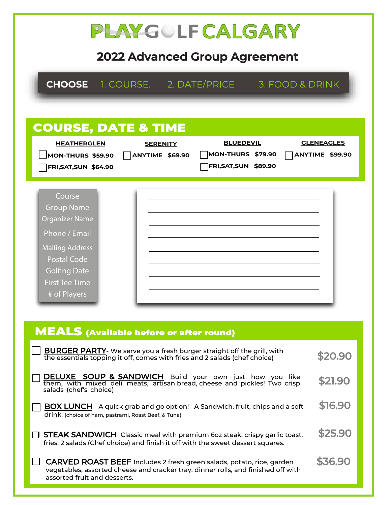| PLAYGOLFCALGARY<br><b>2022 Advanced Group Agreement</b>                                                                                                                                                                                                                                                               |                    |  |  |  |
|-----------------------------------------------------------------------------------------------------------------------------------------------------------------------------------------------------------------------------------------------------------------------------------------------------------------------|--------------------|--|--|--|
| <b>CHOOSE</b> 1. COURSE. 2. DATE/PRICE 3. FOOD & DRINK                                                                                                                                                                                                                                                                |                    |  |  |  |
| <b>COURSE, DATE &amp; TIME</b><br><b>GLENEAGLES</b><br><b>BLUEDEVIL</b><br><b>HEATHERGLEN</b><br><b>SERENITY</b><br><b>MON-THURS \$79.90</b><br><b>ANYTIME \$99.90</b><br>MON-THURS $$59.90$ $\bigcap$ ANYTIME $$69.90$<br>FRI, SAT, SUN \$89.90<br><b>FRI, SAT, SUN \$64.90</b>                                      |                    |  |  |  |
| Course<br><b>Group Name</b><br><b>Organizer Name</b><br>Phone / Email<br><b>Mailing Address</b><br><b>Postal Code</b><br><b>Golfing Date</b><br><b>First Tee Time</b><br># of Players                                                                                                                                 |                    |  |  |  |
| <b>MEALS</b> (Available before or after round)<br><b>BURGER PARTY</b> - We serve you a fresh burger straight off the grill, with<br>\$20.90<br>the essentials topping it off, comes with fries and 2 salads (chef choice)                                                                                             |                    |  |  |  |
| <b>DELUXE SOUP &amp; SANDWICH</b> Build your own just how you like<br>them, with mixed deli meats, artisan bread, cheese and pickles! Two crisp<br>salads (chef's choice)<br><b>BOX LUNCH</b> A quick grab and go option! A Sandwich, fruit, chips and a soft<br>drink. (choice of ham, pastrami, Roast Beef, & Tuna) | \$21.90<br>\$16.90 |  |  |  |
| \$25.90<br><b>STEAK SANDWICH</b> Classic meal with premium 60z steak, crispy garlic toast,<br>fries, 2 salads (Chef choice) and finish it off with the sweet dessert squares.                                                                                                                                         |                    |  |  |  |

| $\Box$ CARVED ROAST BEEF Includes 2 fresh green salads, potato, rice, garden      | \$36.90 |
|-----------------------------------------------------------------------------------|---------|
| vegetables, assorted cheese and cracker tray, dinner rolls, and finished off with |         |
| assorted fruit and desserts.                                                      |         |